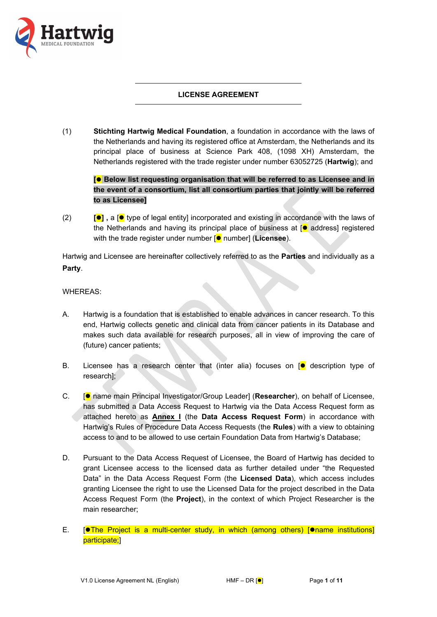

# **LICENSE AGREEMENT**

(1) **Stichting Hartwig Medical Foundation**, a foundation in accordance with the laws of the Netherlands and having its registered office at Amsterdam, the Netherlands and its principal place of business at Science Park 408, (1098 XH) Amsterdam, the Netherlands registered with the trade register under number 63052725 (**Hartwig**); and

**[ Below list requesting organisation that will be referred to as Licensee and in the event of a consortium, list all consortium parties that jointly will be referred to as Licensee]**

(2) **[] ,** a [ type of legal entity] incorporated and existing in accordance with the laws of the Netherlands and having its principal place of business at  $\lceil \bullet \rceil$  address] registered with the trade register under number [ $\bullet$  number] (**Licensee**).

Hartwig and Licensee are hereinafter collectively referred to as the **Parties** and individually as a **Party**.

WHEREAS:

- A. Hartwig is a foundation that is established to enable advances in cancer research. To this end, Hartwig collects genetic and clinical data from cancer patients in its Database and makes such data available for research purposes, all in view of improving the care of (future) cancer patients;
- B. Licensee has a research center that (inter alia) focuses on  $\lceil \bullet \rceil$  description type of research];
- C. [ name main Principal Investigator/Group Leader] (**Researcher**), on behalf of Licensee, has submitted a Data Access Request to Hartwig via the Data Access Request form as attached hereto as **Annex I** (the **Data Access Request Form**) in accordance with Hartwig's Rules of Procedure Data Access Requests (the **Rules**) with a view to obtaining access to and to be allowed to use certain Foundation Data from Hartwig's Database;
- D. Pursuant to the Data Access Request of Licensee, the Board of Hartwig has decided to grant Licensee access to the licensed data as further detailed under "the Requested Data" in the Data Access Request Form (the **Licensed Data**), which access includes granting Licensee the right to use the Licensed Data for the project described in the Data Access Request Form (the **Project**), in the context of which Project Researcher is the main researcher;
- E.  $\left[ \bullet \right]$  Project is a multi-center study, in which (among others)  $\left[ \bullet \right]$  iname institutions participate;]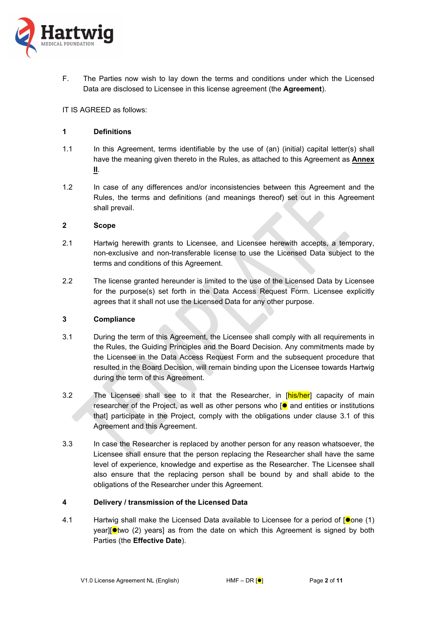

F. The Parties now wish to lay down the terms and conditions under which the Licensed Data are disclosed to Licensee in this license agreement (the **Agreement**).

IT IS AGREED as follows:

### **1 Definitions**

- 1.1 In this Agreement, terms identifiable by the use of (an) (initial) capital letter(s) shall have the meaning given thereto in the Rules, as attached to this Agreement as **Annex II**.
- 1.2 In case of any differences and/or inconsistencies between this Agreement and the Rules, the terms and definitions (and meanings thereof) set out in this Agreement shall prevail.

### **2 Scope**

- 2.1 Hartwig herewith grants to Licensee, and Licensee herewith accepts, a temporary, non-exclusive and non-transferable license to use the Licensed Data subject to the terms and conditions of this Agreement.
- 2.2 The license granted hereunder is limited to the use of the Licensed Data by Licensee for the purpose(s) set forth in the Data Access Request Form. Licensee explicitly agrees that it shall not use the Licensed Data for any other purpose.

### **3 Compliance**

- <span id="page-1-0"></span>3.1 During the term of this Agreement, the Licensee shall comply with all requirements in the Rules, the Guiding Principles and the Board Decision. Any commitments made by the Licensee in the Data Access Request Form and the subsequent procedure that resulted in the Board Decision, will remain binding upon the Licensee towards Hartwig during the term of this Agreement.
- <span id="page-1-2"></span>3.2 The Licensee shall see to it that the Researcher, in [his/her] capacity of main researcher of the Project, as well as other persons who  $\int \bullet$  and entities or institutions that] participate in the Project, comply with the obligations under clause [3.1](#page-1-0) of this Agreement and this Agreement.
- 3.3 In case the Researcher is replaced by another person for any reason whatsoever, the Licensee shall ensure that the person replacing the Researcher shall have the same level of experience, knowledge and expertise as the Researcher. The Licensee shall also ensure that the replacing person shall be bound by and shall abide to the obligations of the Researcher under this Agreement.

### <span id="page-1-3"></span>**4 Delivery / transmission of the Licensed Data**

<span id="page-1-1"></span>4.1 Hartwig shall make the Licensed Data available to Licensee for a period of  $\lceil \bullet \rfloor$  one (1) year][ $\bullet$ two (2) years] as from the date on which this Agreement is signed by both Parties (the **Effective Date**).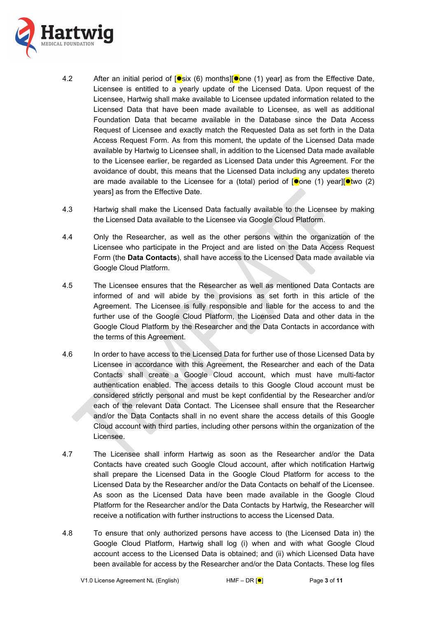

- 4.2 After an initial period of  $\left[\bullet\right]$ six (6) months $\left|\left[\bullet\right]$ one (1) year] as from the Effective Date, Licensee is entitled to a yearly update of the Licensed Data. Upon request of the Licensee, Hartwig shall make available to Licensee updated information related to the Licensed Data that have been made available to Licensee, as well as additional Foundation Data that became available in the Database since the Data Access Request of Licensee and exactly match the Requested Data as set forth in the Data Access Request Form. As from this moment, the update of the Licensed Data made available by Hartwig to Licensee shall, in addition to the Licensed Data made available to the Licensee earlier, be regarded as Licensed Data under this Agreement. For the avoidance of doubt, this means that the Licensed Data including any updates thereto are made available to the Licensee for a (total) period of  $\phi$  one (1) year] $\phi$  two (2) years] as from the Effective Date.
- 4.3 Hartwig shall make the Licensed Data factually available to the Licensee by making the Licensed Data available to the Licensee via Google Cloud Platform.
- 4.4 Only the Researcher, as well as the other persons within the organization of the Licensee who participate in the Project and are listed on the Data Access Request Form (the **Data Contacts**), shall have access to the Licensed Data made available via Google Cloud Platform.
- 4.5 The Licensee ensures that the Researcher as well as mentioned Data Contacts are informed of and will abide by the provisions as set forth in this article of the Agreement. The Licensee is fully responsible and liable for the access to and the further use of the Google Cloud Platform, the Licensed Data and other data in the Google Cloud Platform by the Researcher and the Data Contacts in accordance with the terms of this Agreement.
- 4.6 In order to have access to the Licensed Data for further use of those Licensed Data by Licensee in accordance with this Agreement, the Researcher and each of the Data Contacts shall create a Google Cloud account, which must have multi-factor authentication enabled. The access details to this Google Cloud account must be considered strictly personal and must be kept confidential by the Researcher and/or each of the relevant Data Contact. The Licensee shall ensure that the Researcher and/or the Data Contacts shall in no event share the access details of this Google Cloud account with third parties, including other persons within the organization of the Licensee.
- 4.7 The Licensee shall inform Hartwig as soon as the Researcher and/or the Data Contacts have created such Google Cloud account, after which notification Hartwig shall prepare the Licensed Data in the Google Cloud Platform for access to the Licensed Data by the Researcher and/or the Data Contacts on behalf of the Licensee. As soon as the Licensed Data have been made available in the Google Cloud Platform for the Researcher and/or the Data Contacts by Hartwig, the Researcher will receive a notification with further instructions to access the Licensed Data.
- 4.8 To ensure that only authorized persons have access to (the Licensed Data in) the Google Cloud Platform, Hartwig shall log (i) when and with what Google Cloud account access to the Licensed Data is obtained; and (ii) which Licensed Data have been available for access by the Researcher and/or the Data Contacts. These log files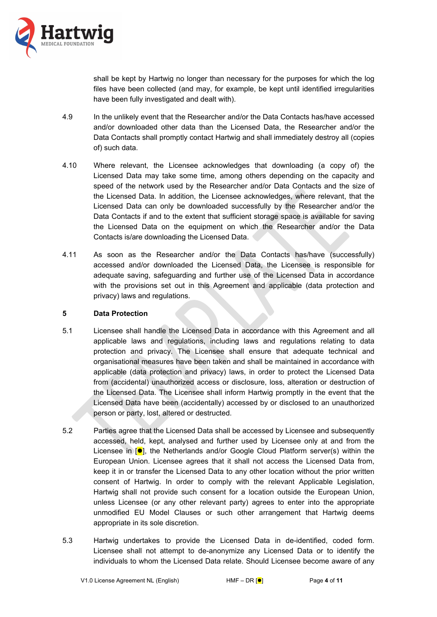

shall be kept by Hartwig no longer than necessary for the purposes for which the log files have been collected (and may, for example, be kept until identified irregularities have been fully investigated and dealt with).

- 4.9 In the unlikely event that the Researcher and/or the Data Contacts has/have accessed and/or downloaded other data than the Licensed Data, the Researcher and/or the Data Contacts shall promptly contact Hartwig and shall immediately destroy all (copies of) such data.
- 4.10 Where relevant, the Licensee acknowledges that downloading (a copy of) the Licensed Data may take some time, among others depending on the capacity and speed of the network used by the Researcher and/or Data Contacts and the size of the Licensed Data. In addition, the Licensee acknowledges, where relevant, that the Licensed Data can only be downloaded successfully by the Researcher and/or the Data Contacts if and to the extent that sufficient storage space is available for saving the Licensed Data on the equipment on which the Researcher and/or the Data Contacts is/are downloading the Licensed Data.
- 4.11 As soon as the Researcher and/or the Data Contacts has/have (successfully) accessed and/or downloaded the Licensed Data, the Licensee is responsible for adequate saving, safeguarding and further use of the Licensed Data in accordance with the provisions set out in this Agreement and applicable (data protection and privacy) laws and regulations.

### **5 Data Protection**

- 5.1 Licensee shall handle the Licensed Data in accordance with this Agreement and all applicable laws and regulations, including laws and regulations relating to data protection and privacy. The Licensee shall ensure that adequate technical and organisational measures have been taken and shall be maintained in accordance with applicable (data protection and privacy) laws, in order to protect the Licensed Data from (accidental) unauthorized access or disclosure, loss, alteration or destruction of the Licensed Data. The Licensee shall inform Hartwig promptly in the event that the Licensed Data have been (accidentally) accessed by or disclosed to an unauthorized person or party, lost, altered or destructed.
- 5.2 Parties agree that the Licensed Data shall be accessed by Licensee and subsequently accessed, held, kept, analysed and further used by Licensee only at and from the Licensee in  $\lceil \bullet \rceil$ , the Netherlands and/or Google Cloud Platform server(s) within the European Union. Licensee agrees that it shall not access the Licensed Data from, keep it in or transfer the Licensed Data to any other location without the prior written consent of Hartwig. In order to comply with the relevant Applicable Legislation, Hartwig shall not provide such consent for a location outside the European Union, unless Licensee (or any other relevant party) agrees to enter into the appropriate unmodified EU Model Clauses or such other arrangement that Hartwig deems appropriate in its sole discretion.
- <span id="page-3-0"></span>5.3 Hartwig undertakes to provide the Licensed Data in de-identified, coded form. Licensee shall not attempt to de-anonymize any Licensed Data or to identify the individuals to whom the Licensed Data relate. Should Licensee become aware of any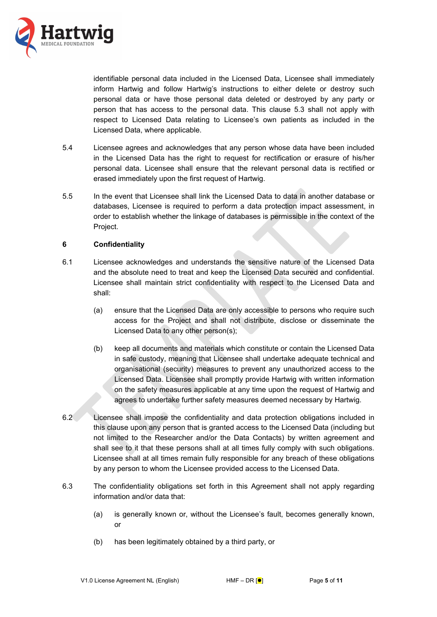

identifiable personal data included in the Licensed Data, Licensee shall immediately inform Hartwig and follow Hartwig's instructions to either delete or destroy such personal data or have those personal data deleted or destroyed by any party or person that has access to the personal data. This clause [5.3](#page-3-0) shall not apply with respect to Licensed Data relating to Licensee's own patients as included in the Licensed Data, where applicable.

- 5.4 Licensee agrees and acknowledges that any person whose data have been included in the Licensed Data has the right to request for rectification or erasure of his/her personal data. Licensee shall ensure that the relevant personal data is rectified or erased immediately upon the first request of Hartwig.
- 5.5 In the event that Licensee shall link the Licensed Data to data in another database or databases, Licensee is required to perform a data protection impact assessment, in order to establish whether the linkage of databases is permissible in the context of the Project.

### <span id="page-4-0"></span>**6 Confidentiality**

- 6.1 Licensee acknowledges and understands the sensitive nature of the Licensed Data and the absolute need to treat and keep the Licensed Data secured and confidential. Licensee shall maintain strict confidentiality with respect to the Licensed Data and shall:
	- (a) ensure that the Licensed Data are only accessible to persons who require such access for the Project and shall not distribute, disclose or disseminate the Licensed Data to any other person(s);
	- (b) keep all documents and materials which constitute or contain the Licensed Data in safe custody, meaning that Licensee shall undertake adequate technical and organisational (security) measures to prevent any unauthorized access to the Licensed Data. Licensee shall promptly provide Hartwig with written information on the safety measures applicable at any time upon the request of Hartwig and agrees to undertake further safety measures deemed necessary by Hartwig.
- 6.2 Licensee shall impose the confidentiality and data protection obligations included in this clause upon any person that is granted access to the Licensed Data (including but not limited to the Researcher and/or the Data Contacts) by written agreement and shall see to it that these persons shall at all times fully comply with such obligations. Licensee shall at all times remain fully responsible for any breach of these obligations by any person to whom the Licensee provided access to the Licensed Data.
- 6.3 The confidentiality obligations set forth in this Agreement shall not apply regarding information and/or data that:
	- (a) is generally known or, without the Licensee's fault, becomes generally known, or
	- (b) has been legitimately obtained by a third party, or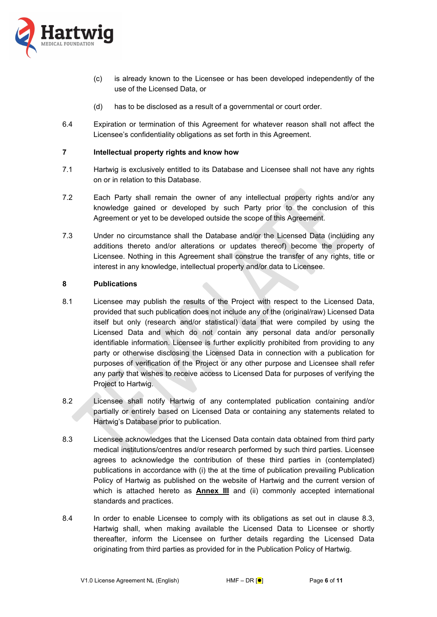

- (c) is already known to the Licensee or has been developed independently of the use of the Licensed Data, or
- (d) has to be disclosed as a result of a governmental or court order.
- 6.4 Expiration or termination of this Agreement for whatever reason shall not affect the Licensee's confidentiality obligations as set forth in this Agreement.

## <span id="page-5-2"></span>**7 Intellectual property rights and know how**

- 7.1 Hartwig is exclusively entitled to its Database and Licensee shall not have any rights on or in relation to this Database.
- 7.2 Each Party shall remain the owner of any intellectual property rights and/or any knowledge gained or developed by such Party prior to the conclusion of this Agreement or yet to be developed outside the scope of this Agreement.
- 7.3 Under no circumstance shall the Database and/or the Licensed Data (including any additions thereto and/or alterations or updates thereof) become the property of Licensee. Nothing in this Agreement shall construe the transfer of any rights, title or interest in any knowledge, intellectual property and/or data to Licensee.

### <span id="page-5-1"></span>**8 Publications**

- 8.1 Licensee may publish the results of the Project with respect to the Licensed Data, provided that such publication does not include any of the (original/raw) Licensed Data itself but only (research and/or statistical) data that were compiled by using the Licensed Data and which do not contain any personal data and/or personally identifiable information. Licensee is further explicitly prohibited from providing to any party or otherwise disclosing the Licensed Data in connection with a publication for purposes of verification of the Project or any other purpose and Licensee shall refer any party that wishes to receive access to Licensed Data for purposes of verifying the Project to Hartwig.
- 8.2 Licensee shall notify Hartwig of any contemplated publication containing and/or partially or entirely based on Licensed Data or containing any statements related to Hartwig's Database prior to publication.
- <span id="page-5-0"></span>8.3 Licensee acknowledges that the Licensed Data contain data obtained from third party medical institutions/centres and/or research performed by such third parties. Licensee agrees to acknowledge the contribution of these third parties in (contemplated) publications in accordance with (i) the at the time of publication prevailing Publication Policy of Hartwig as published on the website of Hartwig and the current version of which is attached hereto as **Annex III** and (ii) commonly accepted international standards and practices.
- 8.4 In order to enable Licensee to comply with its obligations as set out in clause [8.3,](#page-5-0) Hartwig shall, when making available the Licensed Data to Licensee or shortly thereafter, inform the Licensee on further details regarding the Licensed Data originating from third parties as provided for in the Publication Policy of Hartwig.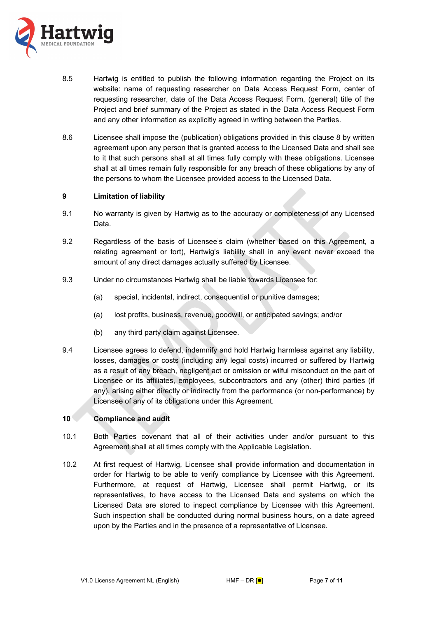

- 8.5 Hartwig is entitled to publish the following information regarding the Project on its website: name of requesting researcher on Data Access Request Form, center of requesting researcher, date of the Data Access Request Form, (general) title of the Project and brief summary of the Project as stated in the Data Access Request Form and any other information as explicitly agreed in writing between the Parties.
- 8.6 Licensee shall impose the (publication) obligations provided in this clause [8](#page-5-1) by written agreement upon any person that is granted access to the Licensed Data and shall see to it that such persons shall at all times fully comply with these obligations. Licensee shall at all times remain fully responsible for any breach of these obligations by any of the persons to whom the Licensee provided access to the Licensed Data.

## **9 Limitation of liability**

- 9.1 No warranty is given by Hartwig as to the accuracy or completeness of any Licensed Data.
- 9.2 Regardless of the basis of Licensee's claim (whether based on this Agreement, a relating agreement or tort), Hartwig's liability shall in any event never exceed the amount of any direct damages actually suffered by Licensee.
- 9.3 Under no circumstances Hartwig shall be liable towards Licensee for:
	- (a) special, incidental, indirect, consequential or punitive damages;
	- (a) lost profits, business, revenue, goodwill, or anticipated savings; and/or
	- (b) any third party claim against Licensee.
- 9.4 Licensee agrees to defend, indemnify and hold Hartwig harmless against any liability, losses, damages or costs (including any legal costs) incurred or suffered by Hartwig as a result of any breach, negligent act or omission or wilful misconduct on the part of Licensee or its affiliates, employees, subcontractors and any (other) third parties (if any), arising either directly or indirectly from the performance (or non-performance) by Licensee of any of its obligations under this Agreement.

# **10 Compliance and audit**

- 10.1 Both Parties covenant that all of their activities under and/or pursuant to this Agreement shall at all times comply with the Applicable Legislation.
- 10.2 At first request of Hartwig, Licensee shall provide information and documentation in order for Hartwig to be able to verify compliance by Licensee with this Agreement. Furthermore, at request of Hartwig, Licensee shall permit Hartwig, or its representatives, to have access to the Licensed Data and systems on which the Licensed Data are stored to inspect compliance by Licensee with this Agreement. Such inspection shall be conducted during normal business hours, on a date agreed upon by the Parties and in the presence of a representative of Licensee.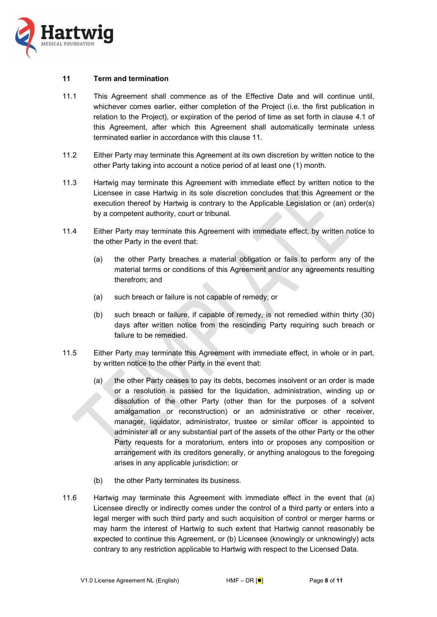

### <span id="page-7-0"></span>**11 Term and termination**

- 11.1 This Agreement shall commence as of the Effective Date and will continue until, whichever comes earlier, either completion of the Project (i.e. the first publication in relation to the Project), or expiration of the period of time as set forth in clause [4.1](#page-1-1) of this Agreement, after which this Agreement shall automatically terminate unless terminated earlier in accordance with this clause [11.](#page-7-0)
- 11.2 Either Party may terminate this Agreement at its own discretion by written notice to the other Party taking into account a notice period of at least one (1) month.
- 11.3 Hartwig may terminate this Agreement with immediate effect by written notice to the Licensee in case Hartwig in its sole discretion concludes that this Agreement or the execution thereof by Hartwig is contrary to the Applicable Legislation or (an) order(s) by a competent authority, court or tribunal.
- 11.4 Either Party may terminate this Agreement with immediate effect, by written notice to the other Party in the event that:
	- (a) the other Party breaches a material obligation or fails to perform any of the material terms or conditions of this Agreement and/or any agreements resulting therefrom; and
	- (a) such breach or failure is not capable of remedy; or
	- (b) such breach or failure, if capable of remedy, is not remedied within thirty (30) days after written notice from the rescinding Party requiring such breach or failure to be remedied.
- 11.5 Either Party may terminate this Agreement with immediate effect, in whole or in part, by written notice to the other Party in the event that:
	- (a) the other Party ceases to pay its debts, becomes insolvent or an order is made or a resolution is passed for the liquidation, administration, winding up or dissolution of the other Party (other than for the purposes of a solvent amalgamation or reconstruction) or an administrative or other receiver, manager, liquidator, administrator, trustee or similar officer is appointed to administer all or any substantial part of the assets of the other Party or the other Party requests for a moratorium, enters into or proposes any composition or arrangement with its creditors generally, or anything analogous to the foregoing arises in any applicable jurisdiction; or
	- (b) the other Party terminates its business.
- 11.6 Hartwig may terminate this Agreement with immediate effect in the event that (a) Licensee directly or indirectly comes under the control of a third party or enters into a legal merger with such third party and such acquisition of control or merger harms or may harm the interest of Hartwig to such extent that Hartwig cannot reasonably be expected to continue this Agreement, or (b) Licensee (knowingly or unknowingly) acts contrary to any restriction applicable to Hartwig with respect to the Licensed Data.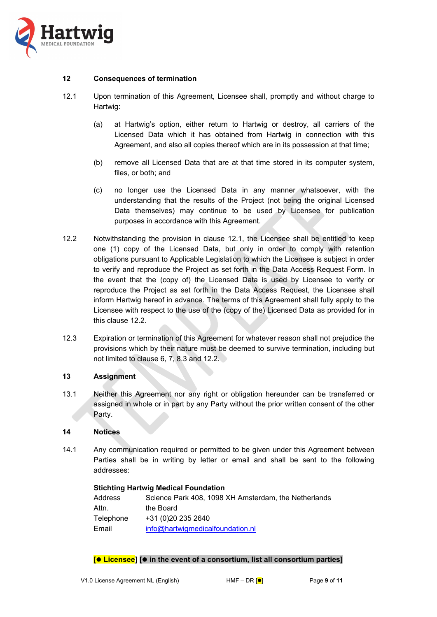

### **12 Consequences of termination**

- <span id="page-8-0"></span>12.1 Upon termination of this Agreement, Licensee shall, promptly and without charge to Hartwig:
	- (a) at Hartwig's option, either return to Hartwig or destroy, all carriers of the Licensed Data which it has obtained from Hartwig in connection with this Agreement, and also all copies thereof which are in its possession at that time;
	- (b) remove all Licensed Data that are at that time stored in its computer system, files, or both; and
	- (c) no longer use the Licensed Data in any manner whatsoever, with the understanding that the results of the Project (not being the original Licensed Data themselves) may continue to be used by Licensee for publication purposes in accordance with this Agreement.
- <span id="page-8-1"></span>12.2 Notwithstanding the provision in clause [12.1,](#page-8-0) the Licensee shall be entitled to keep one (1) copy of the Licensed Data, but only in order to comply with retention obligations pursuant to Applicable Legislation to which the Licensee is subject in order to verify and reproduce the Project as set forth in the Data Access Request Form. In the event that the (copy of) the Licensed Data is used by Licensee to verify or reproduce the Project as set forth in the Data Access Request, the Licensee shall inform Hartwig hereof in advance. The terms of this Agreement shall fully apply to the Licensee with respect to the use of the (copy of the) Licensed Data as provided for in this clause [12.2](#page-8-1).
- 12.3 Expiration or termination of this Agreement for whatever reason shall not prejudice the provisions which by their nature must be deemed to survive termination, including but not limited to clause [6](#page-4-0), [7](#page-5-2), [8.3](#page-5-0) and [12.2.](#page-8-1)

### **13 Assignment**

13.1 Neither this Agreement nor any right or obligation hereunder can be transferred or assigned in whole or in part by any Party without the prior written consent of the other Party.

### **14 Notices**

14.1 Any communication required or permitted to be given under this Agreement between Parties shall be in writing by letter or email and shall be sent to the following addresses:

### **Stichting Hartwig Medical Foundation**

| Address   | Science Park 408, 1098 XH Amsterdam, the Netherlands |
|-----------|------------------------------------------------------|
| Attn.     | the Board                                            |
| Telephone | +31 (0)20 235 2640                                   |
| Email     | info@hartwigmedicalfoundation.nl                     |

### **[ Licensee] [ in the event of a consortium, list all consortium parties]**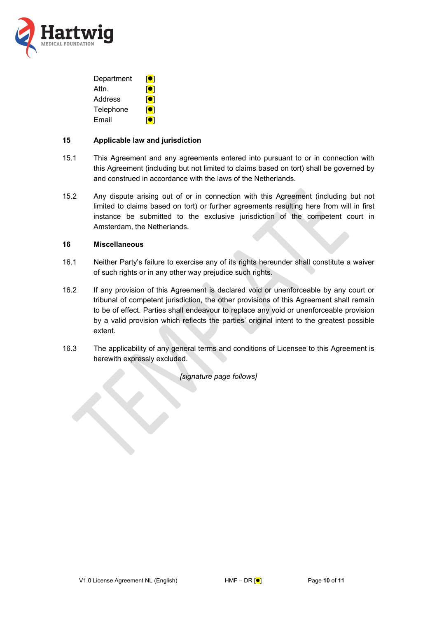

| Department | <b>iol</b>   |
|------------|--------------|
| Attn.      | [ <b>O</b> ] |
| Address    | [ <b>O</b> ] |
| Telephone  | ioi          |
| Email      | loi          |

## **15 Applicable law and jurisdiction**

- 15.1 This Agreement and any agreements entered into pursuant to or in connection with this Agreement (including but not limited to claims based on tort) shall be governed by and construed in accordance with the laws of the Netherlands.
- 15.2 Any dispute arising out of or in connection with this Agreement (including but not limited to claims based on tort) or further agreements resulting here from will in first instance be submitted to the exclusive jurisdiction of the competent court in Amsterdam, the Netherlands.

# **16 Miscellaneous**

- 16.1 Neither Party's failure to exercise any of its rights hereunder shall constitute a waiver of such rights or in any other way prejudice such rights.
- 16.2 If any provision of this Agreement is declared void or unenforceable by any court or tribunal of competent jurisdiction, the other provisions of this Agreement shall remain to be of effect. Parties shall endeavour to replace any void or unenforceable provision by a valid provision which reflects the parties' original intent to the greatest possible extent.
- 16.3 The applicability of any general terms and conditions of Licensee to this Agreement is herewith expressly excluded.

*[signature page follows]*